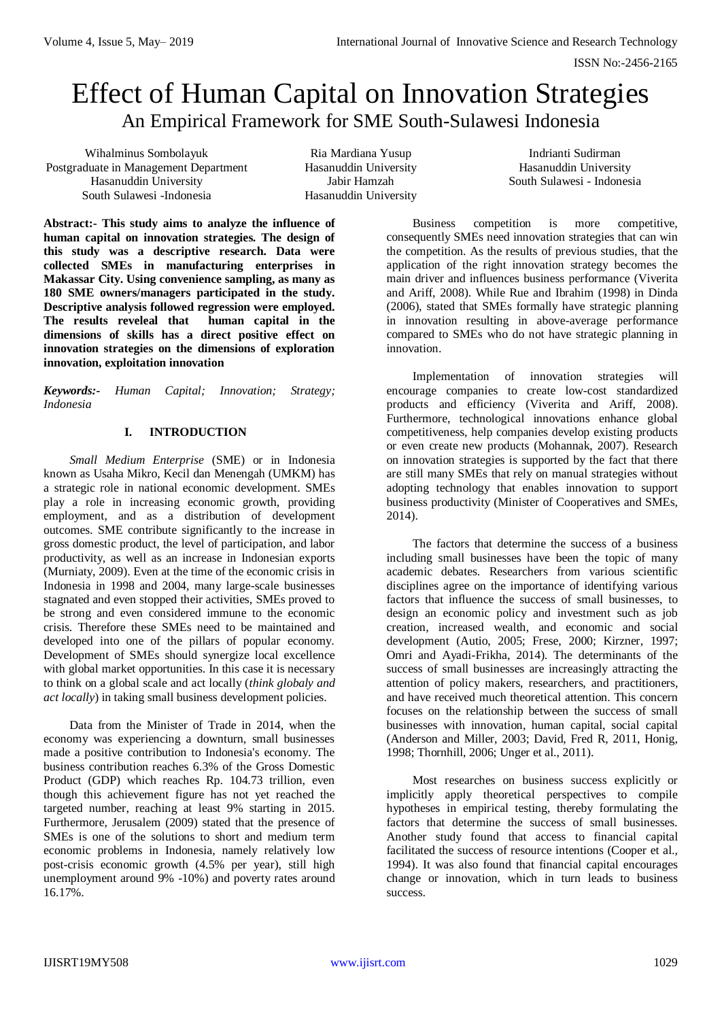# Effect of Human Capital on Innovation Strategies An Empirical Framework for SME South-Sulawesi Indonesia

Wihalminus Sombolayuk Postgraduate in Management Department Hasanuddin University South Sulawesi -Indonesia

Ria Mardiana Yusup Hasanuddin University Jabir Hamzah Hasanuddin University

Indrianti Sudirman Hasanuddin University South Sulawesi - Indonesia

**Abstract:- This study aims to analyze the influence of human capital on innovation strategies. The design of this study was a descriptive research. Data were collected SMEs in manufacturing enterprises in Makassar City. Using convenience sampling, as many as 180 SME owners/managers participated in the study. Descriptive analysis followed regression were employed. The results reveleal that human capital in the dimensions of skills has a direct positive effect on innovation strategies on the dimensions of exploration innovation, exploitation innovation**

*Keywords:- Human Capital; Innovation; Strategy; Indonesia*

# **I. INTRODUCTION**

*Small Medium Enterprise* (SME) or in Indonesia known as Usaha Mikro, Kecil dan Menengah (UMKM) has a strategic role in national economic development. SMEs play a role in increasing economic growth, providing employment, and as a distribution of development outcomes. SME contribute significantly to the increase in gross domestic product, the level of participation, and labor productivity, as well as an increase in Indonesian exports (Murniaty, 2009). Even at the time of the economic crisis in Indonesia in 1998 and 2004, many large-scale businesses stagnated and even stopped their activities, SMEs proved to be strong and even considered immune to the economic crisis. Therefore these SMEs need to be maintained and developed into one of the pillars of popular economy. Development of SMEs should synergize local excellence with global market opportunities. In this case it is necessary to think on a global scale and act locally (*think globaly and act locally*) in taking small business development policies.

Data from the Minister of Trade in 2014, when the economy was experiencing a downturn, small businesses made a positive contribution to Indonesia's economy. The business contribution reaches 6.3% of the Gross Domestic Product (GDP) which reaches Rp. 104.73 trillion, even though this achievement figure has not yet reached the targeted number, reaching at least 9% starting in 2015. Furthermore, Jerusalem (2009) stated that the presence of SMEs is one of the solutions to short and medium term economic problems in Indonesia, namely relatively low post-crisis economic growth (4.5% per year), still high unemployment around 9% -10%) and poverty rates around 16.17%.

Business competition is more competitive, consequently SMEs need innovation strategies that can win the competition. As the results of previous studies, that the application of the right innovation strategy becomes the main driver and influences business performance (Viverita and Ariff, 2008). While Rue and Ibrahim (1998) in Dinda (2006), stated that SMEs formally have strategic planning in innovation resulting in above-average performance compared to SMEs who do not have strategic planning in innovation.

Implementation of innovation strategies will encourage companies to create low-cost standardized products and efficiency (Viverita and Ariff, 2008). Furthermore, technological innovations enhance global competitiveness, help companies develop existing products or even create new products (Mohannak, 2007). Research on innovation strategies is supported by the fact that there are still many SMEs that rely on manual strategies without adopting technology that enables innovation to support business productivity (Minister of Cooperatives and SMEs, 2014).

The factors that determine the success of a business including small businesses have been the topic of many academic debates. Researchers from various scientific disciplines agree on the importance of identifying various factors that influence the success of small businesses, to design an economic policy and investment such as job creation, increased wealth, and economic and social development (Autio, 2005; Frese, 2000; Kirzner, 1997; Omri and Ayadi-Frikha, 2014). The determinants of the success of small businesses are increasingly attracting the attention of policy makers, researchers, and practitioners, and have received much theoretical attention. This concern focuses on the relationship between the success of small businesses with innovation, human capital, social capital (Anderson and Miller, 2003; David, Fred R, 2011, Honig, 1998; Thornhill, 2006; Unger et al., 2011).

Most researches on business success explicitly or implicitly apply theoretical perspectives to compile hypotheses in empirical testing, thereby formulating the factors that determine the success of small businesses. Another study found that access to financial capital facilitated the success of resource intentions (Cooper et al., 1994). It was also found that financial capital encourages change or innovation, which in turn leads to business success.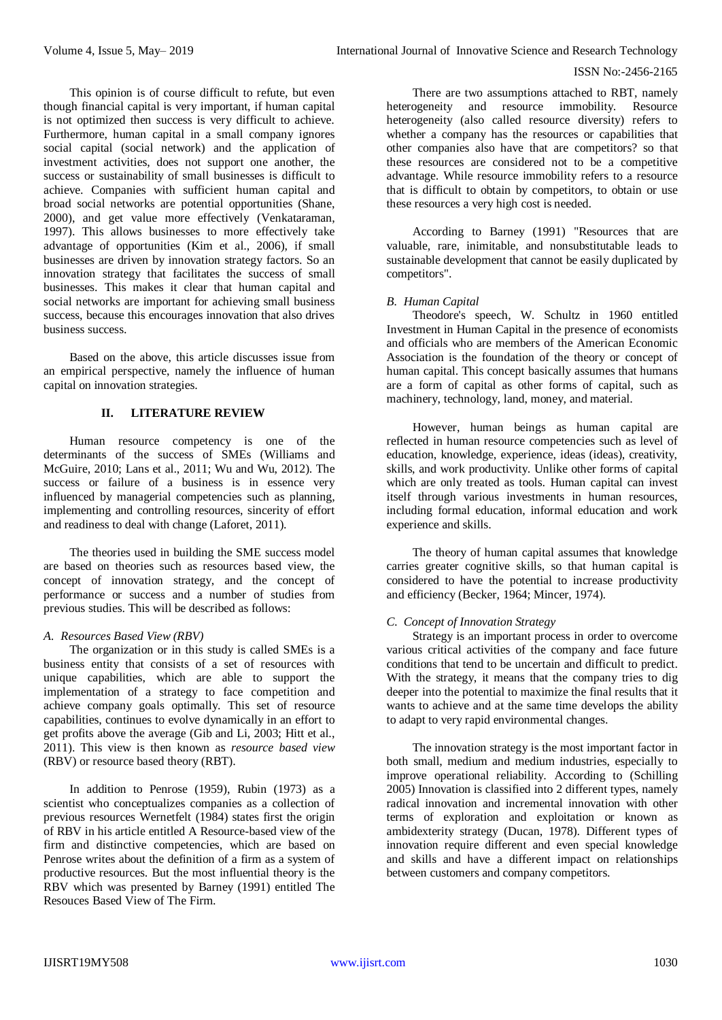This opinion is of course difficult to refute, but even though financial capital is very important, if human capital is not optimized then success is very difficult to achieve. Furthermore, human capital in a small company ignores social capital (social network) and the application of investment activities, does not support one another, the success or sustainability of small businesses is difficult to achieve. Companies with sufficient human capital and broad social networks are potential opportunities (Shane, 2000), and get value more effectively (Venkataraman, 1997). This allows businesses to more effectively take advantage of opportunities (Kim et al., 2006), if small businesses are driven by innovation strategy factors. So an innovation strategy that facilitates the success of small businesses. This makes it clear that human capital and social networks are important for achieving small business success, because this encourages innovation that also drives business success.

Based on the above, this article discusses issue from an empirical perspective, namely the influence of human capital on innovation strategies.

## **II. LITERATURE REVIEW**

Human resource competency is one of the determinants of the success of SMEs (Williams and McGuire, 2010; Lans et al., 2011; Wu and Wu, 2012). The success or failure of a business is in essence very influenced by managerial competencies such as planning, implementing and controlling resources, sincerity of effort and readiness to deal with change (Laforet, 2011).

The theories used in building the SME success model are based on theories such as resources based view, the concept of innovation strategy, and the concept of performance or success and a number of studies from previous studies. This will be described as follows:

## *A. Resources Based View (RBV)*

The organization or in this study is called SMEs is a business entity that consists of a set of resources with unique capabilities, which are able to support the implementation of a strategy to face competition and achieve company goals optimally. This set of resource capabilities, continues to evolve dynamically in an effort to get profits above the average (Gib and Li, 2003; Hitt et al., 2011). This view is then known as *resource based view* (RBV) or resource based theory (RBT).

In addition to Penrose (1959), Rubin (1973) as a scientist who conceptualizes companies as a collection of previous resources Wernetfelt (1984) states first the origin of RBV in his article entitled A Resource-based view of the firm and distinctive competencies, which are based on Penrose writes about the definition of a firm as a system of productive resources. But the most influential theory is the RBV which was presented by Barney (1991) entitled The Resouces Based View of The Firm.

There are two assumptions attached to RBT, namely heterogeneity and resource immobility. Resource heterogeneity (also called resource diversity) refers to whether a company has the resources or capabilities that other companies also have that are competitors? so that these resources are considered not to be a competitive advantage. While resource immobility refers to a resource that is difficult to obtain by competitors, to obtain or use these resources a very high cost is needed.

According to Barney (1991) "Resources that are valuable, rare, inimitable, and nonsubstitutable leads to sustainable development that cannot be easily duplicated by competitors".

## *B. Human Capital*

Theodore's speech, W. Schultz in 1960 entitled Investment in Human Capital in the presence of economists and officials who are members of the American Economic Association is the foundation of the theory or concept of human capital. This concept basically assumes that humans are a form of capital as other forms of capital, such as machinery, technology, land, money, and material.

However, human beings as human capital are reflected in human resource competencies such as level of education, knowledge, experience, ideas (ideas), creativity, skills, and work productivity. Unlike other forms of capital which are only treated as tools. Human capital can invest itself through various investments in human resources, including formal education, informal education and work experience and skills.

The theory of human capital assumes that knowledge carries greater cognitive skills, so that human capital is considered to have the potential to increase productivity and efficiency (Becker, 1964; Mincer, 1974).

## *C. Concept of Innovation Strategy*

Strategy is an important process in order to overcome various critical activities of the company and face future conditions that tend to be uncertain and difficult to predict. With the strategy, it means that the company tries to dig deeper into the potential to maximize the final results that it wants to achieve and at the same time develops the ability to adapt to very rapid environmental changes.

The innovation strategy is the most important factor in both small, medium and medium industries, especially to improve operational reliability. According to (Schilling 2005) Innovation is classified into 2 different types, namely radical innovation and incremental innovation with other terms of exploration and exploitation or known as ambidexterity strategy (Ducan, 1978). Different types of innovation require different and even special knowledge and skills and have a different impact on relationships between customers and company competitors.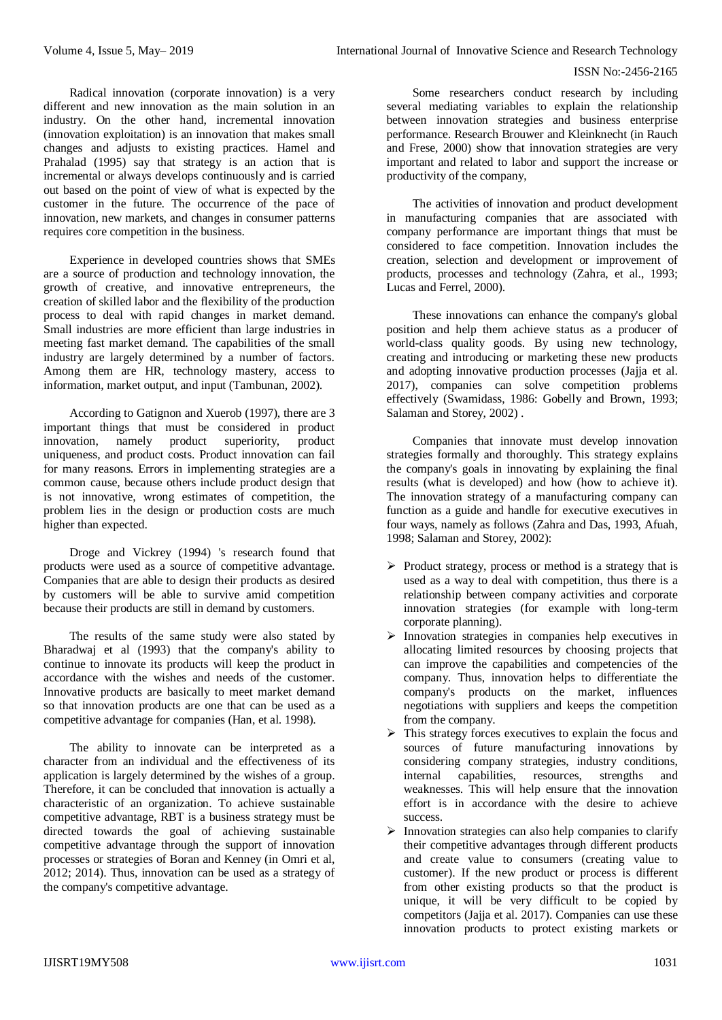Radical innovation (corporate innovation) is a very different and new innovation as the main solution in an industry. On the other hand, incremental innovation (innovation exploitation) is an innovation that makes small changes and adjusts to existing practices. Hamel and Prahalad (1995) say that strategy is an action that is incremental or always develops continuously and is carried out based on the point of view of what is expected by the customer in the future. The occurrence of the pace of innovation, new markets, and changes in consumer patterns requires core competition in the business.

Experience in developed countries shows that SMEs are a source of production and technology innovation, the growth of creative, and innovative entrepreneurs, the creation of skilled labor and the flexibility of the production process to deal with rapid changes in market demand. Small industries are more efficient than large industries in meeting fast market demand. The capabilities of the small industry are largely determined by a number of factors. Among them are HR, technology mastery, access to information, market output, and input (Tambunan, 2002).

According to Gatignon and Xuerob (1997), there are 3 important things that must be considered in product innovation, namely product superiority, product uniqueness, and product costs. Product innovation can fail for many reasons. Errors in implementing strategies are a common cause, because others include product design that is not innovative, wrong estimates of competition, the problem lies in the design or production costs are much higher than expected.

Droge and Vickrey (1994) 's research found that products were used as a source of competitive advantage. Companies that are able to design their products as desired by customers will be able to survive amid competition because their products are still in demand by customers.

The results of the same study were also stated by Bharadwaj et al (1993) that the company's ability to continue to innovate its products will keep the product in accordance with the wishes and needs of the customer. Innovative products are basically to meet market demand so that innovation products are one that can be used as a competitive advantage for companies (Han, et al. 1998).

The ability to innovate can be interpreted as a character from an individual and the effectiveness of its application is largely determined by the wishes of a group. Therefore, it can be concluded that innovation is actually a characteristic of an organization. To achieve sustainable competitive advantage, RBT is a business strategy must be directed towards the goal of achieving sustainable competitive advantage through the support of innovation processes or strategies of Boran and Kenney (in Omri et al, 2012; 2014). Thus, innovation can be used as a strategy of the company's competitive advantage.

Some researchers conduct research by including several mediating variables to explain the relationship between innovation strategies and business enterprise performance. Research Brouwer and Kleinknecht (in Rauch and Frese, 2000) show that innovation strategies are very important and related to labor and support the increase or productivity of the company,

The activities of innovation and product development in manufacturing companies that are associated with company performance are important things that must be considered to face competition. Innovation includes the creation, selection and development or improvement of products, processes and technology (Zahra, et al., 1993; Lucas and Ferrel, 2000).

These innovations can enhance the company's global position and help them achieve status as a producer of world-class quality goods. By using new technology, creating and introducing or marketing these new products and adopting innovative production processes (Jajja et al. 2017), companies can solve competition problems effectively (Swamidass, 1986: Gobelly and Brown, 1993; Salaman and Storey, 2002) .

Companies that innovate must develop innovation strategies formally and thoroughly. This strategy explains the company's goals in innovating by explaining the final results (what is developed) and how (how to achieve it). The innovation strategy of a manufacturing company can function as a guide and handle for executive executives in four ways, namely as follows (Zahra and Das, 1993, Afuah, 1998; Salaman and Storey, 2002):

- $\triangleright$  Product strategy, process or method is a strategy that is used as a way to deal with competition, thus there is a relationship between company activities and corporate innovation strategies (for example with long-term corporate planning).
- $\triangleright$  Innovation strategies in companies help executives in allocating limited resources by choosing projects that can improve the capabilities and competencies of the company. Thus, innovation helps to differentiate the company's products on the market, influences negotiations with suppliers and keeps the competition from the company.
- $\triangleright$  This strategy forces executives to explain the focus and sources of future manufacturing innovations by considering company strategies, industry conditions, internal capabilities, resources, strengths and weaknesses. This will help ensure that the innovation effort is in accordance with the desire to achieve success.
- $\triangleright$  Innovation strategies can also help companies to clarify their competitive advantages through different products and create value to consumers (creating value to customer). If the new product or process is different from other existing products so that the product is unique, it will be very difficult to be copied by competitors (Jajja et al. 2017). Companies can use these innovation products to protect existing markets or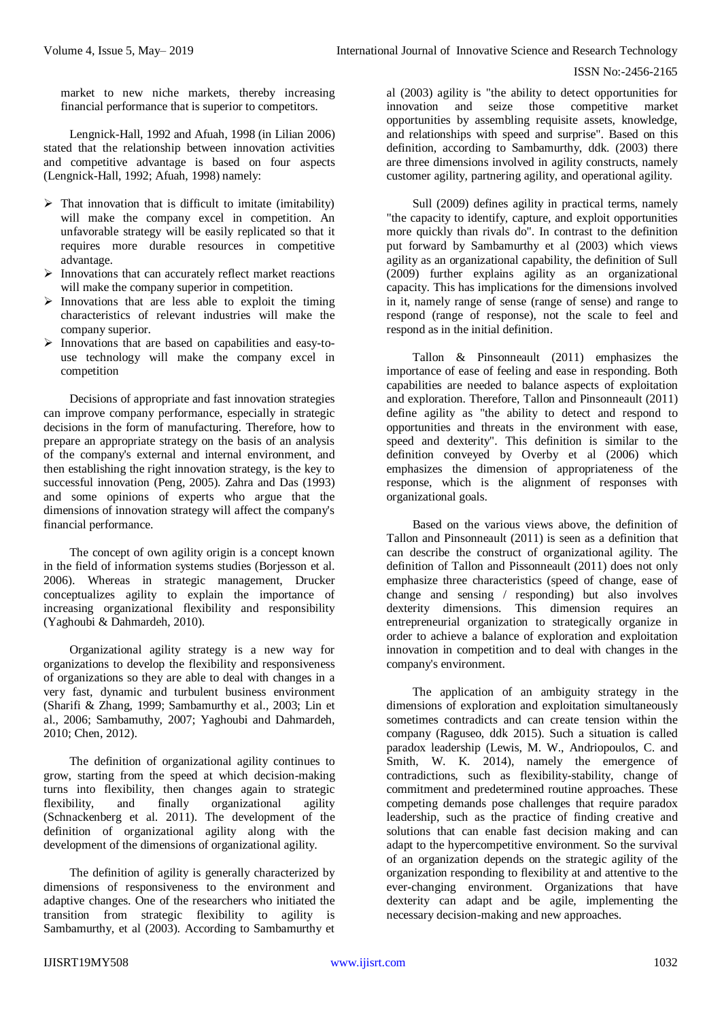market to new niche markets, thereby increasing financial performance that is superior to competitors.

Lengnick-Hall, 1992 and Afuah, 1998 (in Lilian 2006) stated that the relationship between innovation activities and competitive advantage is based on four aspects (Lengnick-Hall, 1992; Afuah, 1998) namely:

- $\triangleright$  That innovation that is difficult to imitate (imitability) will make the company excel in competition. An unfavorable strategy will be easily replicated so that it requires more durable resources in competitive advantage.
- $\triangleright$  Innovations that can accurately reflect market reactions will make the company superior in competition.
- $\triangleright$  Innovations that are less able to exploit the timing characteristics of relevant industries will make the company superior.
- $\triangleright$  Innovations that are based on capabilities and easy-touse technology will make the company excel in competition

Decisions of appropriate and fast innovation strategies can improve company performance, especially in strategic decisions in the form of manufacturing. Therefore, how to prepare an appropriate strategy on the basis of an analysis of the company's external and internal environment, and then establishing the right innovation strategy, is the key to successful innovation (Peng, 2005). Zahra and Das (1993) and some opinions of experts who argue that the dimensions of innovation strategy will affect the company's financial performance.

The concept of own agility origin is a concept known in the field of information systems studies (Borjesson et al. 2006). Whereas in strategic management, Drucker conceptualizes agility to explain the importance of increasing organizational flexibility and responsibility (Yaghoubi & Dahmardeh, 2010).

Organizational agility strategy is a new way for organizations to develop the flexibility and responsiveness of organizations so they are able to deal with changes in a very fast, dynamic and turbulent business environment (Sharifi & Zhang, 1999; Sambamurthy et al., 2003; Lin et al., 2006; Sambamuthy, 2007; Yaghoubi and Dahmardeh, 2010; Chen, 2012).

The definition of organizational agility continues to grow, starting from the speed at which decision-making turns into flexibility, then changes again to strategic<br>flexibility, and finally organizational agility flexibility, and finally organizational agility (Schnackenberg et al. 2011). The development of the definition of organizational agility along with the development of the dimensions of organizational agility.

The definition of agility is generally characterized by dimensions of responsiveness to the environment and adaptive changes. One of the researchers who initiated the transition from strategic flexibility to agility is Sambamurthy, et al (2003). According to Sambamurthy et

al (2003) agility is "the ability to detect opportunities for innovation and seize those competitive market opportunities by assembling requisite assets, knowledge, and relationships with speed and surprise". Based on this definition, according to Sambamurthy, ddk. (2003) there are three dimensions involved in agility constructs, namely customer agility, partnering agility, and operational agility.

Sull (2009) defines agility in practical terms, namely "the capacity to identify, capture, and exploit opportunities more quickly than rivals do". In contrast to the definition put forward by Sambamurthy et al (2003) which views agility as an organizational capability, the definition of Sull (2009) further explains agility as an organizational capacity. This has implications for the dimensions involved in it, namely range of sense (range of sense) and range to respond (range of response), not the scale to feel and respond as in the initial definition.

Tallon & Pinsonneault (2011) emphasizes the importance of ease of feeling and ease in responding. Both capabilities are needed to balance aspects of exploitation and exploration. Therefore, Tallon and Pinsonneault (2011) define agility as "the ability to detect and respond to opportunities and threats in the environment with ease, speed and dexterity". This definition is similar to the definition conveyed by Overby et al (2006) which emphasizes the dimension of appropriateness of the response, which is the alignment of responses with organizational goals.

Based on the various views above, the definition of Tallon and Pinsonneault (2011) is seen as a definition that can describe the construct of organizational agility. The definition of Tallon and Pissonneault (2011) does not only emphasize three characteristics (speed of change, ease of change and sensing / responding) but also involves dexterity dimensions. This dimension requires an entrepreneurial organization to strategically organize in order to achieve a balance of exploration and exploitation innovation in competition and to deal with changes in the company's environment.

The application of an ambiguity strategy in the dimensions of exploration and exploitation simultaneously sometimes contradicts and can create tension within the company (Raguseo, ddk 2015). Such a situation is called paradox leadership (Lewis, M. W., Andriopoulos, C. and Smith, W. K. 2014), namely the emergence of contradictions, such as flexibility-stability, change of commitment and predetermined routine approaches. These competing demands pose challenges that require paradox leadership, such as the practice of finding creative and solutions that can enable fast decision making and can adapt to the hypercompetitive environment. So the survival of an organization depends on the strategic agility of the organization responding to flexibility at and attentive to the ever-changing environment. Organizations that have dexterity can adapt and be agile, implementing the necessary decision-making and new approaches.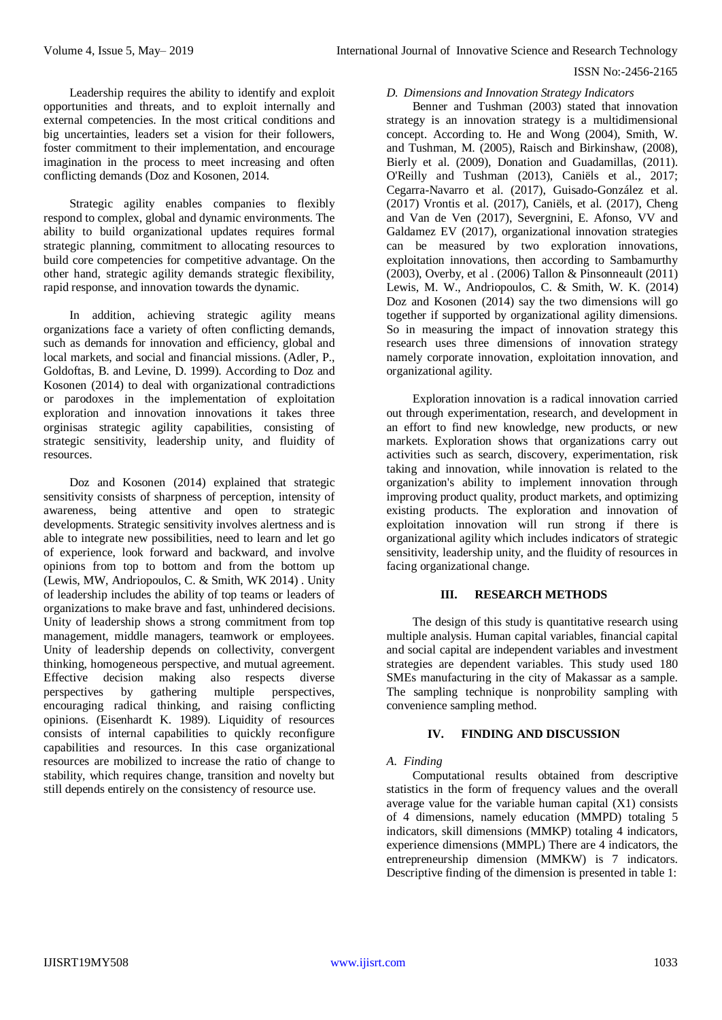Leadership requires the ability to identify and exploit opportunities and threats, and to exploit internally and external competencies. In the most critical conditions and big uncertainties, leaders set a vision for their followers, foster commitment to their implementation, and encourage imagination in the process to meet increasing and often conflicting demands (Doz and Kosonen, 2014.

Strategic agility enables companies to flexibly respond to complex, global and dynamic environments. The ability to build organizational updates requires formal strategic planning, commitment to allocating resources to build core competencies for competitive advantage. On the other hand, strategic agility demands strategic flexibility, rapid response, and innovation towards the dynamic.

In addition, achieving strategic agility means organizations face a variety of often conflicting demands, such as demands for innovation and efficiency, global and local markets, and social and financial missions. (Adler, P., Goldoftas, B. and Levine, D. 1999). According to Doz and Kosonen (2014) to deal with organizational contradictions or parodoxes in the implementation of exploitation exploration and innovation innovations it takes three orginisas strategic agility capabilities, consisting of strategic sensitivity, leadership unity, and fluidity of resources.

Doz and Kosonen (2014) explained that strategic sensitivity consists of sharpness of perception, intensity of awareness, being attentive and open to strategic developments. Strategic sensitivity involves alertness and is able to integrate new possibilities, need to learn and let go of experience, look forward and backward, and involve opinions from top to bottom and from the bottom up (Lewis, MW, Andriopoulos, C. & Smith, WK 2014) . Unity of leadership includes the ability of top teams or leaders of organizations to make brave and fast, unhindered decisions. Unity of leadership shows a strong commitment from top management, middle managers, teamwork or employees. Unity of leadership depends on collectivity, convergent thinking, homogeneous perspective, and mutual agreement. Effective decision making also respects diverse perspectives by gathering multiple perspectives, encouraging radical thinking, and raising conflicting opinions. (Eisenhardt K. 1989). Liquidity of resources consists of internal capabilities to quickly reconfigure capabilities and resources. In this case organizational resources are mobilized to increase the ratio of change to stability, which requires change, transition and novelty but still depends entirely on the consistency of resource use.

## *D. Dimensions and Innovation Strategy Indicators*

Benner and Tushman (2003) stated that innovation strategy is an innovation strategy is a multidimensional concept. According to. He and Wong (2004), Smith, W. and Tushman, M. (2005), Raisch and Birkinshaw, (2008), Bierly et al. (2009), Donation and Guadamillas, (2011). O'Reilly and Tushman (2013), Caniëls et al., 2017; Cegarra-Navarro et al. (2017), Guisado-González et al. (2017) Vrontis et al. (2017), Caniëls, et al. (2017), Cheng and Van de Ven (2017), Severgnini, E. Afonso, VV and Galdamez EV (2017), organizational innovation strategies can be measured by two exploration innovations, exploitation innovations, then according to Sambamurthy (2003), Overby, et al . (2006) Tallon & Pinsonneault (2011) Lewis, M. W., Andriopoulos, C. & Smith, W. K. (2014) Doz and Kosonen (2014) say the two dimensions will go together if supported by organizational agility dimensions. So in measuring the impact of innovation strategy this research uses three dimensions of innovation strategy namely corporate innovation, exploitation innovation, and organizational agility.

Exploration innovation is a radical innovation carried out through experimentation, research, and development in an effort to find new knowledge, new products, or new markets. Exploration shows that organizations carry out activities such as search, discovery, experimentation, risk taking and innovation, while innovation is related to the organization's ability to implement innovation through improving product quality, product markets, and optimizing existing products. The exploration and innovation of exploitation innovation will run strong if there is organizational agility which includes indicators of strategic sensitivity, leadership unity, and the fluidity of resources in facing organizational change.

# **III. RESEARCH METHODS**

The design of this study is quantitative research using multiple analysis. Human capital variables, financial capital and social capital are independent variables and investment strategies are dependent variables. This study used 180 SMEs manufacturing in the city of Makassar as a sample. The sampling technique is nonprobility sampling with convenience sampling method.

## **IV. FINDING AND DISCUSSION**

## *A. Finding*

Computational results obtained from descriptive statistics in the form of frequency values and the overall average value for the variable human capital (X1) consists of 4 dimensions, namely education (MMPD) totaling 5 indicators, skill dimensions (MMKP) totaling 4 indicators, experience dimensions (MMPL) There are 4 indicators, the entrepreneurship dimension (MMKW) is 7 indicators. Descriptive finding of the dimension is presented in table 1: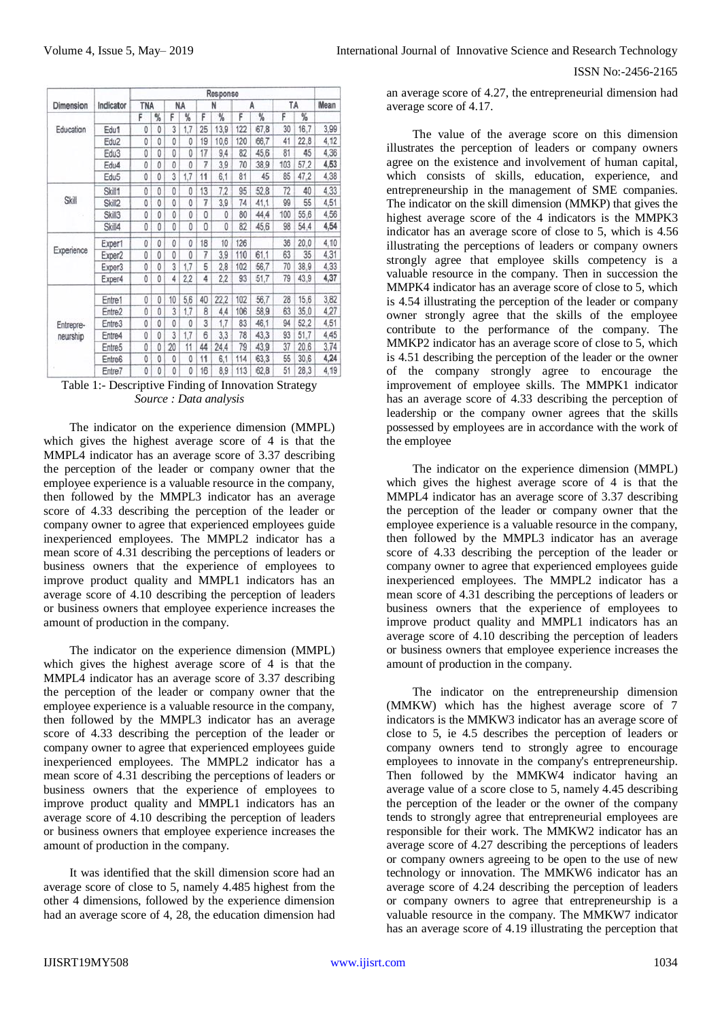ISSN No:-2456-2165

| Dimension<br>Education | Indicator          | Response   |              |    |          |    |      |     |      |     |      |      |
|------------------------|--------------------|------------|--------------|----|----------|----|------|-----|------|-----|------|------|
|                        |                    | <b>TNA</b> |              | NA |          | N  |      | A   |      | TA  |      | Mean |
|                        |                    | F          | %            | F  | ℁        | F  | %    | F   | %    | F   | %    |      |
|                        | Edu1               | 0          | 0            | 3  | 1,7      | 25 | 13.9 | 122 | 67,8 | 30  | 16,7 | 3.99 |
|                        | Edu <sub>2</sub>   | 0          | 0            | 0  | 0        | 19 | 10,6 | 120 | 66,7 | 41  | 22.8 | 4,12 |
|                        | Edu3               | O          | 0            | 0  | 0        | 17 | 9.4  | 82  | 45.6 | 81  | 45   | 4,36 |
|                        | Edu4               | 0          | 0            | 0  | 0        | 7  | 3,9  | 70  | 38,9 | 103 | 57,2 | 4,53 |
|                        | Edu <sub>5</sub>   | 0          | 0            | 3  | 1,7      | 11 | 6,1  | 81  | 45   | 85  | 47,2 | 4,38 |
| <b>Skill</b>           | Skill1             | 0          | 0            | O  | 0        | 13 | 7.2  | 95  | 52.8 | 72  | 40   | 4.33 |
|                        | Skill2             | 0          | 0            | 0  | 0        | 7  | 3,9  | 74  | 41.1 | 99  | 55   | 4,51 |
|                        | Skill3             | O          | 0            | 0  | 0        | 0  | 0    | 80  | 44.4 | 100 | 55.6 | 4,56 |
|                        | Skill4             | 0          | $\mathbf{0}$ | 0  | 0        | 0  | 0    | 82  | 45.6 | 98  | 54,4 | 4,54 |
| Experience             | Exper1             | 0          | 0            | 0  | 0        | 18 | 10   | 126 |      | 36  | 20.0 | 4.10 |
|                        | Exper <sub>2</sub> | 0          | 0            | 0  | O        | 7  | 3,9  | 110 | 61,1 | 63  | 35   | 4,31 |
|                        | Exper3             | 0          | 0            | 3  | 1.7      | 5  | 2.8  | 102 | 56.7 | 70  | 38.9 | 4,33 |
|                        | Exper4             | $\theta$   | 0            | 4  | 2.2      | 4  | 2.2  | 93  | 51,7 | 79  | 43,9 | 4,37 |
| Entrepre-<br>neurship  | Entre1             | 0          | 0            | 10 | 5.6      | 40 | 22.2 | 102 | 56.7 | 28  | 15,6 | 3,82 |
|                        | Entre2             | Ö          | 0            | 3  | 1,7      | 8  | 4.4  | 106 | 58.9 | 63  | 35,0 | 4,27 |
|                        | Entre <sub>3</sub> | 0          | 0            | 0  | $\theta$ | 3  | 1,7  | 83  | 46,1 | 94  | 52.2 | 4,51 |
|                        | Entre4             | 0          | 0            | 3  | 1,7      | 6  | 3.3  | 78  | 43.3 | 93  | 51,7 | 4.45 |
|                        | Entre <sub>5</sub> | 0          | 0            | 20 | 11       | 44 | 24,4 | 79  | 43.9 | 37  | 20.6 | 3.74 |
|                        | Entre6             | 0          | 0            | O  | 0        | 11 | 6.1  | 114 | 63.3 | 55  | 30.6 | 4,24 |
|                        | Entre7             | 0          | 0            | 0  | 0        | 16 | 8,9  | 113 | 62,8 | 51  | 28,3 | 4,19 |

Table 1:- Descriptive Finding of Innovation Strategy *Source : Data analysis*

The indicator on the experience dimension (MMPL) which gives the highest average score of 4 is that the MMPL4 indicator has an average score of 3.37 describing the perception of the leader or company owner that the employee experience is a valuable resource in the company, then followed by the MMPL3 indicator has an average score of 4.33 describing the perception of the leader or company owner to agree that experienced employees guide inexperienced employees. The MMPL2 indicator has a mean score of 4.31 describing the perceptions of leaders or business owners that the experience of employees to improve product quality and MMPL1 indicators has an average score of 4.10 describing the perception of leaders or business owners that employee experience increases the amount of production in the company.

The indicator on the experience dimension (MMPL) which gives the highest average score of 4 is that the MMPL4 indicator has an average score of 3.37 describing the perception of the leader or company owner that the employee experience is a valuable resource in the company, then followed by the MMPL3 indicator has an average score of 4.33 describing the perception of the leader or company owner to agree that experienced employees guide inexperienced employees. The MMPL2 indicator has a mean score of 4.31 describing the perceptions of leaders or business owners that the experience of employees to improve product quality and MMPL1 indicators has an average score of 4.10 describing the perception of leaders or business owners that employee experience increases the amount of production in the company.

It was identified that the skill dimension score had an average score of close to 5, namely 4.485 highest from the other 4 dimensions, followed by the experience dimension had an average score of 4, 28, the education dimension had an average score of 4.27, the entrepreneurial dimension had average score of 4.17.

The value of the average score on this dimension illustrates the perception of leaders or company owners agree on the existence and involvement of human capital, which consists of skills, education, experience, and entrepreneurship in the management of SME companies. The indicator on the skill dimension (MMKP) that gives the highest average score of the 4 indicators is the MMPK3 indicator has an average score of close to 5, which is 4.56 illustrating the perceptions of leaders or company owners strongly agree that employee skills competency is a valuable resource in the company. Then in succession the MMPK4 indicator has an average score of close to 5, which is 4.54 illustrating the perception of the leader or company owner strongly agree that the skills of the employee contribute to the performance of the company. The MMKP2 indicator has an average score of close to 5, which is 4.51 describing the perception of the leader or the owner of the company strongly agree to encourage the improvement of employee skills. The MMPK1 indicator has an average score of 4.33 describing the perception of leadership or the company owner agrees that the skills possessed by employees are in accordance with the work of the employee

The indicator on the experience dimension (MMPL) which gives the highest average score of 4 is that the MMPL4 indicator has an average score of 3.37 describing the perception of the leader or company owner that the employee experience is a valuable resource in the company, then followed by the MMPL3 indicator has an average score of 4.33 describing the perception of the leader or company owner to agree that experienced employees guide inexperienced employees. The MMPL2 indicator has a mean score of 4.31 describing the perceptions of leaders or business owners that the experience of employees to improve product quality and MMPL1 indicators has an average score of 4.10 describing the perception of leaders or business owners that employee experience increases the amount of production in the company.

The indicator on the entrepreneurship dimension (MMKW) which has the highest average score of 7 indicators is the MMKW3 indicator has an average score of close to 5, ie 4.5 describes the perception of leaders or company owners tend to strongly agree to encourage employees to innovate in the company's entrepreneurship. Then followed by the MMKW4 indicator having an average value of a score close to 5, namely 4.45 describing the perception of the leader or the owner of the company tends to strongly agree that entrepreneurial employees are responsible for their work. The MMKW2 indicator has an average score of 4.27 describing the perceptions of leaders or company owners agreeing to be open to the use of new technology or innovation. The MMKW6 indicator has an average score of 4.24 describing the perception of leaders or company owners to agree that entrepreneurship is a valuable resource in the company. The MMKW7 indicator has an average score of 4.19 illustrating the perception that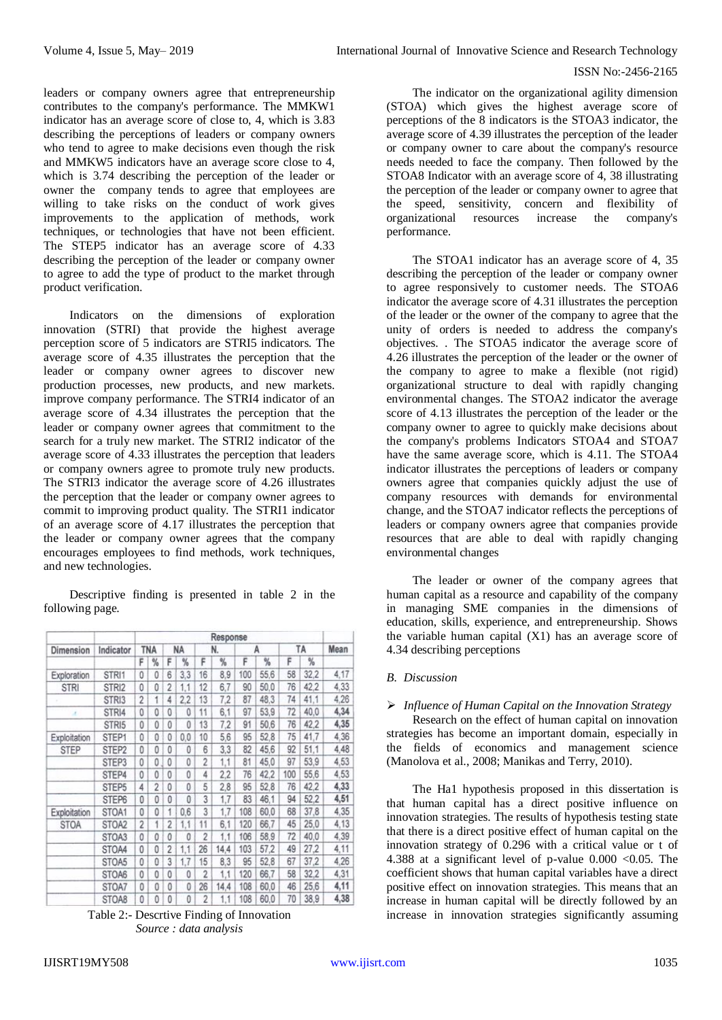leaders or company owners agree that entrepreneurship contributes to the company's performance. The MMKW1 indicator has an average score of close to, 4, which is 3.83 describing the perceptions of leaders or company owners who tend to agree to make decisions even though the risk and MMKW5 indicators have an average score close to 4, which is 3.74 describing the perception of the leader or owner the company tends to agree that employees are willing to take risks on the conduct of work gives improvements to the application of methods, work techniques, or technologies that have not been efficient. The STEP5 indicator has an average score of 4.33 describing the perception of the leader or company owner to agree to add the type of product to the market through product verification.

Indicators on the dimensions of exploration innovation (STRI) that provide the highest average perception score of 5 indicators are STRI5 indicators. The average score of 4.35 illustrates the perception that the leader or company owner agrees to discover new production processes, new products, and new markets. improve company performance. The STRI4 indicator of an average score of 4.34 illustrates the perception that the leader or company owner agrees that commitment to the search for a truly new market. The STRI2 indicator of the average score of 4.33 illustrates the perception that leaders or company owners agree to promote truly new products. The STRI3 indicator the average score of 4.26 illustrates the perception that the leader or company owner agrees to commit to improving product quality. The STRI1 indicator of an average score of 4.17 illustrates the perception that the leader or company owner agrees that the company encourages employees to find methods, work techniques, and new technologies.

Descriptive finding is presented in table 2 in the following page.

| Dimension    | Indicator         | Response       |                |   |     |                |      |     |      |     |      |      |
|--------------|-------------------|----------------|----------------|---|-----|----------------|------|-----|------|-----|------|------|
|              |                   |                | TNA            |   | NA  | N.             |      | А   |      | ΤA  |      | Mean |
|              |                   | F              | %              | F | %   | F              | %    | F   | %    | F   | %    |      |
| Exploration  | STRI1             | 0              | 0              | 6 | 3,3 | 16             | 8,9  | 100 | 55,6 | 58  | 32.2 | 4,17 |
| <b>STRI</b>  | STRI2             | 0              | 0              | 2 | 1,1 | 12             | 6.7  | 90  | 50.0 | 76  | 42.2 | 4.33 |
|              | STRI3             | $\overline{2}$ | 1              | 4 | 2.2 | 13             | 7,2  | 87  | 48.3 | 74  | 41.1 | 4,26 |
| x            | STRI4             | 0              | 0              | 0 | 0   | 11             | 6,1  | 97  | 53,9 | 72  | 40.0 | 4,34 |
|              | STRI5             | 0              | 0              | 0 | 0   | 13             | 7.2  | 91  | 50.6 | 76  | 42.2 | 4,35 |
| Exploitation | STEP1             | 0              | 0              | 0 | 0,0 | 10             | 5,6  | 95  | 52.8 | 75  | 41,7 | 4.36 |
| <b>STEP</b>  | STEP <sub>2</sub> | 0              | 0              | 0 | 0   | 6              | 3,3  | 82  | 45.6 | 92  | 51.1 | 4,48 |
|              | STEP3             | 0              | 0              | Ō | 0   | $\overline{c}$ | 1,1  | 81  | 45.0 | 97  | 53.9 | 4,53 |
|              | STEP4             | 0              | 0              | 0 | 0   | 4              | 2,2  | 76  | 42,2 | 100 | 55,6 | 4,53 |
|              | STEP <sub>5</sub> | 4              | $\overline{2}$ | 0 | 0   | 5              | 2,8  | 95  | 52.8 | 76  | 42,2 | 4,33 |
|              | STEP6             | 0              | 0              | 0 | 0   | 3              | 1,7  | 83  | 46,1 | 94  | 52,2 | 4,51 |
| Exploitation | STOA1             | 0              | 0              | 1 | 0.6 | 3              | 1,7  | 108 | 60.0 | 68  | 37,8 | 4,35 |
| <b>STOA</b>  | STOA2             | $\overline{c}$ | 1              | 2 | 1,1 | 11             | 6,1  | 120 | 66,7 | 45  | 25.0 | 4.13 |
|              | STOA3             | 0              | 0              | 0 | 0   | 2              | 1,1  | 106 | 58.9 | 72  | 40.0 | 4,39 |
|              | STOA4             | 0              | 0              | 2 | 1,1 | 26             | 14,4 | 103 | 57,2 | 49  | 27.2 | 4,11 |
|              | STOA5             | 0              | 0              | 3 | 1.7 | 15             | 8,3  | 95  | 52.8 | 67  | 37,2 | 4,26 |
|              | STOA6             | 0              | 0              | Ö | 0   | $\overline{c}$ | 1,1  | 120 | 66,7 | 58  | 32.2 | 4,31 |
|              | STOA7             | 0              | 0              | 0 | 0   | 26             | 14,4 | 108 | 60.0 | 46  | 25,6 | 4,11 |
|              | STOA8             | 0              | 0              | 0 | 0   | $\overline{2}$ | 1,1  | 108 | 60,0 | 70  | 38.9 | 4,38 |

Table 2:- Descrtive Finding of Innovation *Source : data analysis*

The indicator on the organizational agility dimension (STOA) which gives the highest average score of perceptions of the 8 indicators is the STOA3 indicator, the average score of 4.39 illustrates the perception of the leader or company owner to care about the company's resource needs needed to face the company. Then followed by the STOA8 Indicator with an average score of 4, 38 illustrating the perception of the leader or company owner to agree that the speed, sensitivity, concern and flexibility of organizational resources increase the company's performance.

The STOA1 indicator has an average score of 4, 35 describing the perception of the leader or company owner to agree responsively to customer needs. The STOA6 indicator the average score of 4.31 illustrates the perception of the leader or the owner of the company to agree that the unity of orders is needed to address the company's objectives. . The STOA5 indicator the average score of 4.26 illustrates the perception of the leader or the owner of the company to agree to make a flexible (not rigid) organizational structure to deal with rapidly changing environmental changes. The STOA2 indicator the average score of 4.13 illustrates the perception of the leader or the company owner to agree to quickly make decisions about the company's problems Indicators STOA4 and STOA7 have the same average score, which is 4.11. The STOA4 indicator illustrates the perceptions of leaders or company owners agree that companies quickly adjust the use of company resources with demands for environmental change, and the STOA7 indicator reflects the perceptions of leaders or company owners agree that companies provide resources that are able to deal with rapidly changing environmental changes

The leader or owner of the company agrees that human capital as a resource and capability of the company in managing SME companies in the dimensions of education, skills, experience, and entrepreneurship. Shows the variable human capital (X1) has an average score of 4.34 describing perceptions

# *B. Discussion*

# *Influence of Human Capital on the Innovation Strategy*

Research on the effect of human capital on innovation strategies has become an important domain, especially in the fields of economics and management science (Manolova et al., 2008; Manikas and Terry, 2010).

The Ha1 hypothesis proposed in this dissertation is that human capital has a direct positive influence on innovation strategies. The results of hypothesis testing state that there is a direct positive effect of human capital on the innovation strategy of 0.296 with a critical value or t of 4.388 at a significant level of p-value  $0.000 < 0.05$ . The coefficient shows that human capital variables have a direct positive effect on innovation strategies. This means that an increase in human capital will be directly followed by an increase in innovation strategies significantly assuming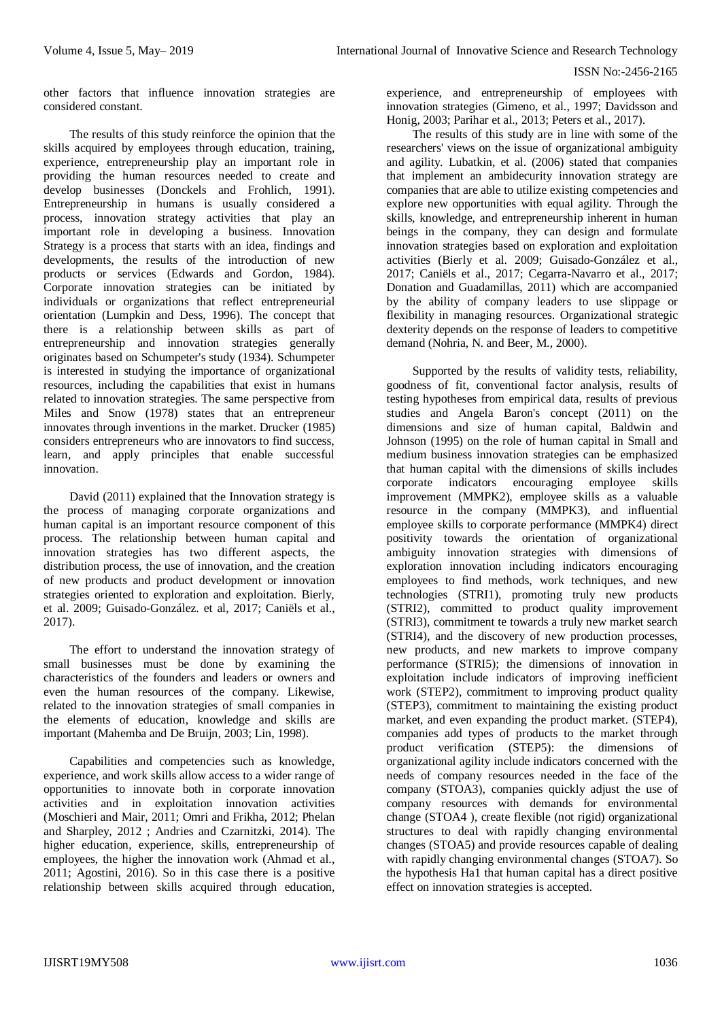other factors that influence innovation strategies are considered constant.

The results of this study reinforce the opinion that the skills acquired by employees through education, training, experience, entrepreneurship play an important role in providing the human resources needed to create and develop businesses (Donckels and Frohlich, 1991). Entrepreneurship in humans is usually considered a process, innovation strategy activities that play an important role in developing a business. Innovation Strategy is a process that starts with an idea, findings and developments, the results of the introduction of new products or services (Edwards and Gordon, 1984). Corporate innovation strategies can be initiated by individuals or organizations that reflect entrepreneurial orientation (Lumpkin and Dess, 1996). The concept that there is a relationship between skills as part of entrepreneurship and innovation strategies generally originates based on Schumpeter's study (1934). Schumpeter is interested in studying the importance of organizational resources, including the capabilities that exist in humans related to innovation strategies. The same perspective from Miles and Snow (1978) states that an entrepreneur innovates through inventions in the market. Drucker (1985) considers entrepreneurs who are innovators to find success, learn, and apply principles that enable successful innovation.

David (2011) explained that the Innovation strategy is the process of managing corporate organizations and human capital is an important resource component of this process. The relationship between human capital and innovation strategies has two different aspects, the distribution process, the use of innovation, and the creation of new products and product development or innovation strategies oriented to exploration and exploitation. Bierly, et al. 2009; Guisado-González. et al, 2017; Caniëls et al., 2017).

The effort to understand the innovation strategy of small businesses must be done by examining the characteristics of the founders and leaders or owners and even the human resources of the company. Likewise, related to the innovation strategies of small companies in the elements of education, knowledge and skills are important (Mahemba and De Bruijn, 2003; Lin, 1998).

Capabilities and competencies such as knowledge, experience, and work skills allow access to a wider range of opportunities to innovate both in corporate innovation activities and in exploitation innovation activities (Moschieri and Mair, 2011; Omri and Frikha, 2012; Phelan and Sharpley, 2012 ; Andries and Czarnitzki, 2014). The higher education, experience, skills, entrepreneurship of employees, the higher the innovation work (Ahmad et al., 2011; Agostini, 2016). So in this case there is a positive relationship between skills acquired through education,

experience, and entrepreneurship of employees with innovation strategies (Gimeno, et al., 1997; Davidsson and Honig, 2003; Parihar et al., 2013; Peters et al., 2017).

The results of this study are in line with some of the researchers' views on the issue of organizational ambiguity and agility. Lubatkin, et al. (2006) stated that companies that implement an ambidecurity innovation strategy are companies that are able to utilize existing competencies and explore new opportunities with equal agility. Through the skills, knowledge, and entrepreneurship inherent in human beings in the company, they can design and formulate innovation strategies based on exploration and exploitation activities (Bierly et al. 2009; Guisado-González et al., 2017; Caniëls et al., 2017; Cegarra-Navarro et al., 2017; Donation and Guadamillas, 2011) which are accompanied by the ability of company leaders to use slippage or flexibility in managing resources. Organizational strategic dexterity depends on the response of leaders to competitive demand (Nohria, N. and Beer, M., 2000).

Supported by the results of validity tests, reliability, goodness of fit, conventional factor analysis, results of testing hypotheses from empirical data, results of previous studies and Angela Baron's concept (2011) on the dimensions and size of human capital, Baldwin and Johnson (1995) on the role of human capital in Small and medium business innovation strategies can be emphasized that human capital with the dimensions of skills includes corporate indicators encouraging employee skills improvement (MMPK2), employee skills as a valuable resource in the company (MMPK3), and influential employee skills to corporate performance (MMPK4) direct positivity towards the orientation of organizational ambiguity innovation strategies with dimensions of exploration innovation including indicators encouraging employees to find methods, work techniques, and new technologies (STRI1), promoting truly new products (STRI2), committed to product quality improvement (STRI3), commitment te towards a truly new market search (STRI4), and the discovery of new production processes, new products, and new markets to improve company performance (STRI5); the dimensions of innovation in exploitation include indicators of improving inefficient work (STEP2), commitment to improving product quality (STEP3), commitment to maintaining the existing product market, and even expanding the product market. (STEP4), companies add types of products to the market through product verification (STEP5): the dimensions of organizational agility include indicators concerned with the needs of company resources needed in the face of the company (STOA3), companies quickly adjust the use of company resources with demands for environmental change (STOA4 ), create flexible (not rigid) organizational structures to deal with rapidly changing environmental changes (STOA5) and provide resources capable of dealing with rapidly changing environmental changes (STOA7). So the hypothesis Ha1 that human capital has a direct positive effect on innovation strategies is accepted.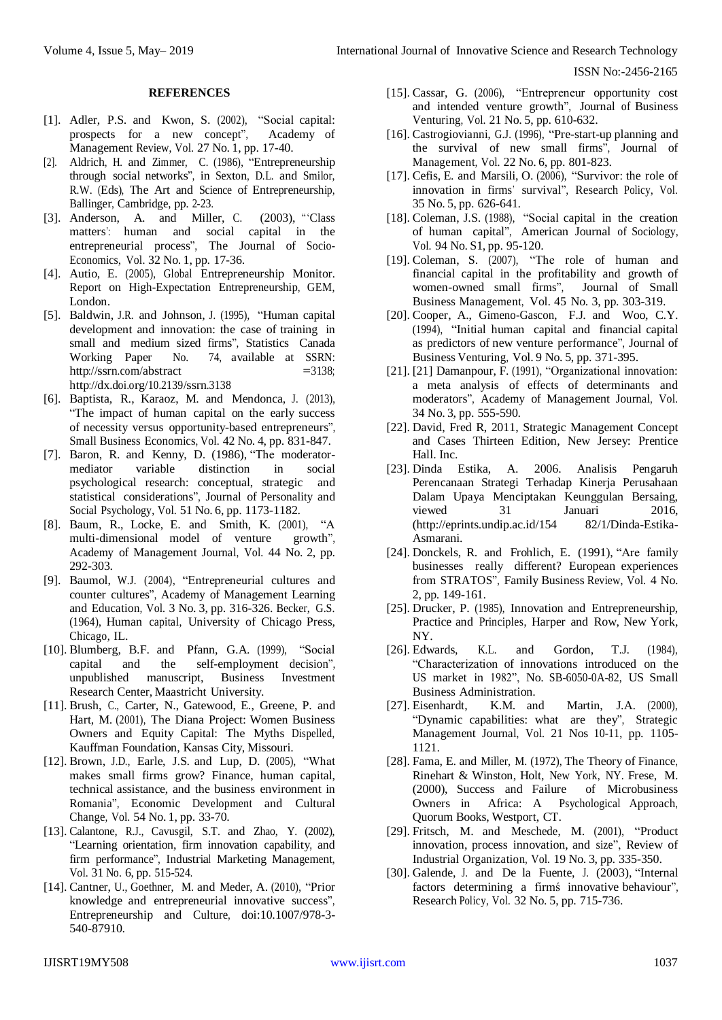#### **REFERENCES**

- [1]. Adler, P.S. and Kwon, S. (2002), "Social capital: prospects for a new concept", Academy of Management Review, Vol. 27 No. 1, pp. 17-40.
- [2]. Aldrich, H. and Zimmer, C. (1986), "Entrepreneurship through social networks", in Sexton, D.L. and Smilor, R.W. (Eds), The Art and Science of Entrepreneurship, Ballinger, Cambridge, pp. 2-23.
- [3]. Anderson, A. and Miller, C. (2003), "Class matters': human and social capital in the entrepreneurial process", The Journal [of Socio-](http://www.emeraldinsight.com/action/showLinks?crossref=10.1016%2FS1053-5357%2803%2900009-X)[Economics,](http://www.emeraldinsight.com/action/showLinks?crossref=10.1016%2FS1053-5357%2803%2900009-X) Vol. 32 No. 1, pp. 17-36.
- [4]. Autio, E. (2005), Global Entrepreneurship Monitor. Report on High-Expectation Entrepreneurship, GEM, London.
- [5]. Baldwin, J.R. and Johnson, J. (1995), "Human capital development and innovation: the case of training in small and medium sized firms", Statistics Canada Working Paper No. 74, available at SSRN: <http://ssrn.com/abstract>  $=3138$ ; [http://dx.doi.org/10.2139/s](http://dx.doi.org/10.2139/)srn.3138
- [6]. Baptista, R., Karaoz, M. and Mendonca, J. (2013), "The impact of human capital on the early success of necessity versus opportunity-based entrepreneurs", Small Business [Economics,](http://www.emeraldinsight.com/action/showLinks?crossref=10.1007%2Fs11187-013-9502-z) Vol. 42 No. 4, pp. 831-847.
- [7]. Baron, R. and Kenny, D. (1986), "The moderatormediator variable distinction in social psychological research: conceptual, strategic and statistical considerations", [Journal](http://www.emeraldinsight.com/action/showLinks?crossref=10.1037%2F0022-3514.51.6.1173) of [Personality](http://www.emeraldinsight.com/action/showLinks?crossref=10.1037%2F0022-3514.51.6.1173) and Social [Psychology,](http://www.emeraldinsight.com/action/showLinks?crossref=10.1037%2F0022-3514.51.6.1173) Vol. 51 No. 6, pp. 1173-1182.
- [8]. Baum, R., Locke, E. and Smith, K. (2001), "A multi-dimensional model of venture growth", Academy [of Management](http://www.emeraldinsight.com/action/showLinks?crossref=10.2307%2F3069456) Journal, Vol. 44 No. 2, pp. 292-303.
- [9]. Baumol, W.J. (2004), "Entrepreneurial cultures and counter cultures", Academy of [Management](http://www.emeraldinsight.com/action/showLinks?crossref=10.5465%2FAMLE.2004.14242240) [Learning](http://www.emeraldinsight.com/action/showLinks?crossref=10.5465%2FAMLE.2004.14242240) and [Education,](http://www.emeraldinsight.com/action/showLinks?crossref=10.5465%2FAMLE.2004.14242240) Vol. 3 No. 3, pp. 316-326. Becker, G.S. (1964), Human capital, University of Chicago Press, Chicago, IL.
- [10]. Blumberg, B.F. and Pfann, G.A. (1999), "Social capital and the self-employment decision", unpublished manuscript, Business Investment Research Center, Maastricht University.
- [11]. Brush, C., Carter, N., Gatewood, E., Greene, P. and Hart, M. (2001), The Diana Project: Women Business Owners and Equity Capital: The Myths Dispelled, Kauffman Foundation, Kansas City, Missouri.
- [12]. Brown, J.D., Earle, J.S. and Lup, D. (2005), "What makes small firms grow? Finance, human capital, technical assistance, and the business environment in Romania", [Economic](http://www.emeraldinsight.com/action/showLinks?crossref=10.1086%2F431264) [Development](http://www.emeraldinsight.com/action/showLinks?crossref=10.1086%2F431264) and Cultural [Change,](http://www.emeraldinsight.com/action/showLinks?crossref=10.1086%2F431264) Vol. 54 No. 1, pp. 33-70.
- [13]. Calantone, R.J., Cavusgil, S.T. and Zhao, Y. (2002), "Learning orientation, firm innovation capability, and firm performance", Industrial Marketing [Management,](http://www.emeraldinsight.com/action/showLinks?crossref=10.1016%2FS0019-8501%2801%2900203-6) Vol. 31 No. 6, pp. 515-524.
- [14]. Cantner, U., Goethner, M. and Meder, A. (2010), "Prior knowledge and entrepreneurial innovative success", Entrepreneurship and Culture, [doi:10.1007/978-3-](http://www.emeraldinsight.com/action/showLinks?crossref=10.1007%2F978-3-540-87910-7_5) [540-87910.](http://www.emeraldinsight.com/action/showLinks?crossref=10.1007%2F978-3-540-87910-7_5)
- [15]. Cassar, G. (2006), "Entrepreneur opportunity cost and intended venture growth", [Journal](http://www.emeraldinsight.com/action/showLinks?crossref=10.1016%2Fj.jbusvent.2005.02.011) of [Business](http://www.emeraldinsight.com/action/showLinks?crossref=10.1016%2Fj.jbusvent.2005.02.011) [Venturing,](http://www.emeraldinsight.com/action/showLinks?crossref=10.1016%2Fj.jbusvent.2005.02.011) Vol. 21 No. 5, pp. 610-632.
- [16]. Castrogiovianni, G.J. (1996), "Pre-start-up planning and the survival of new small firms", [Journal](http://www.emeraldinsight.com/action/showLinks?crossref=10.1177%2F014920639602200601) [of](http://www.emeraldinsight.com/action/showLinks?crossref=10.1177%2F014920639602200601)  [Management,](http://www.emeraldinsight.com/action/showLinks?crossref=10.1177%2F014920639602200601) Vol. 22 No. 6, pp. 801-823.
- [17]. Cefis, E. and Marsili, O. (2006), "Survivor: the role of innovation in firms' survival", [Research](http://www.emeraldinsight.com/action/showLinks?crossref=10.1016%2Fj.respol.2006.02.006) [Policy,](http://www.emeraldinsight.com/action/showLinks?crossref=10.1016%2Fj.respol.2006.02.006) Vol. 35 No. 5, pp. 626-641.
- [18]. Coleman, J.S. (1988), "Social capital in the creation of human capital", [American](http://www.emeraldinsight.com/action/showLinks?crossref=10.1086%2F228943) Journal of [Sociology,](http://www.emeraldinsight.com/action/showLinks?crossref=10.1086%2F228943) Vol. 94 No. S1, pp. 95-120.
- [19]. Coleman, S. (2007), "The role of human and financial capital in the profitability and growth of women-owned small firms", [Journal](http://www.emeraldinsight.com/action/showLinks?crossref=10.1111%2Fj.1540-627X.2007.00214.x) of Small Business [Management,](http://www.emeraldinsight.com/action/showLinks?crossref=10.1111%2Fj.1540-627X.2007.00214.x) Vol. 45 No. 3, pp. 303-319.
- [20]. Cooper, A., Gimeno-Gascon, F.J. and Woo, C.Y. (1994), "Initial human capital and financial capital as predictors of new venture performance", [Journal](http://www.emeraldinsight.com/action/showLinks?crossref=10.1016%2F0883-9026%2894%2990013-2) of Business [Venturing,](http://www.emeraldinsight.com/action/showLinks?crossref=10.1016%2F0883-9026%2894%2990013-2) Vol. 9 No. 5, pp. 371-395.
- [21]. [21] Damanpour, F. (1991), "Organizational innovation: a meta analysis of effects of determinants and moderators", Academy of [Management](http://www.emeraldinsight.com/action/showLinks?crossref=10.2307%2F256406) Journal, Vol. 34 No. 3, pp. 555-590.
- [22]. David, Fred R, 2011, Strategic Management Concept and Cases Thirteen Edition, New Jersey: Prentice Hall. Inc.
- [23]. Dinda Estika, A. 2006. Analisis Pengaruh Perencanaan Strategi Terhadap Kinerja Perusahaan Dalam Upaya Menciptakan Keunggulan Bersaing, viewed 31 Januari 2016, [\(http://eprints.undip.ac.id/154](http://eprints.undip.ac.id/154) 82/1/Dinda-Estika-Asmarani.
- [24]. Donckels, R. and Frohlich, E. (1991), "Are family businesses really different? European experiences from STRATOS", Family [Business](http://www.emeraldinsight.com/action/showLinks?crossref=10.1111%2Fj.1741-6248.1991.00149.x) Review, Vol. 4 No. 2, pp. 149-161.
- [25]. Drucker, P. (1985), Innovation and Entrepreneurship, Practice and Principles, Harper and Row, New York, NY.
- [26]. Edwards, K.L. and Gordon, T.J. (1984), "Characterization of innovations introduced on the US market in 1982", No. SB-6050-0A-82, US Small Business Administration.
- [27]. Eisenhardt, K.M. and Martin, J.A. (2000), "Dynamic capabilities: what are they", [Strategic](http://www.emeraldinsight.com/action/showLinks?crossref=10.1002%2F1097-0266%28200010%2F11%2921%3A10%2F11%3C1105%3A%3AAID-SMJ133%3E3.0.CO%3B2-E) [Management](http://www.emeraldinsight.com/action/showLinks?crossref=10.1002%2F1097-0266%28200010%2F11%2921%3A10%2F11%3C1105%3A%3AAID-SMJ133%3E3.0.CO%3B2-E) Journal, Vol. 21 Nos 10-11, pp. 1105- 1121.
- [28]. Fama, E. and Miller, M. (1972), The Theory of Finance, Rinehart & Winston, Holt, New York, NY. Frese, M. (2000), Success and Failure of Microbusiness Owners in Africa: A Psychological Approach, Quorum Books, Westport, CT.
- [29]. Fritsch, M. and Meschede, M. (2001), "Product innovation, process innovation, and size", [Review](http://www.emeraldinsight.com/action/showLinks?crossref=10.1023%2FA%3A1011856020135) [of](http://www.emeraldinsight.com/action/showLinks?crossref=10.1023%2FA%3A1011856020135)  Industrial [Organization,](http://www.emeraldinsight.com/action/showLinks?crossref=10.1023%2FA%3A1011856020135) Vol. 19 No. 3, pp. 335-350.
- [30]. Galende, J. and De la Fuente, J. (2003), "Internal factors determining a firmś innovative behaviour", [Research](http://www.emeraldinsight.com/action/showLinks?crossref=10.1016%2FS0048-7333%2802%2900082-3) Policy, Vol. 32 No. 5, pp. 715-736.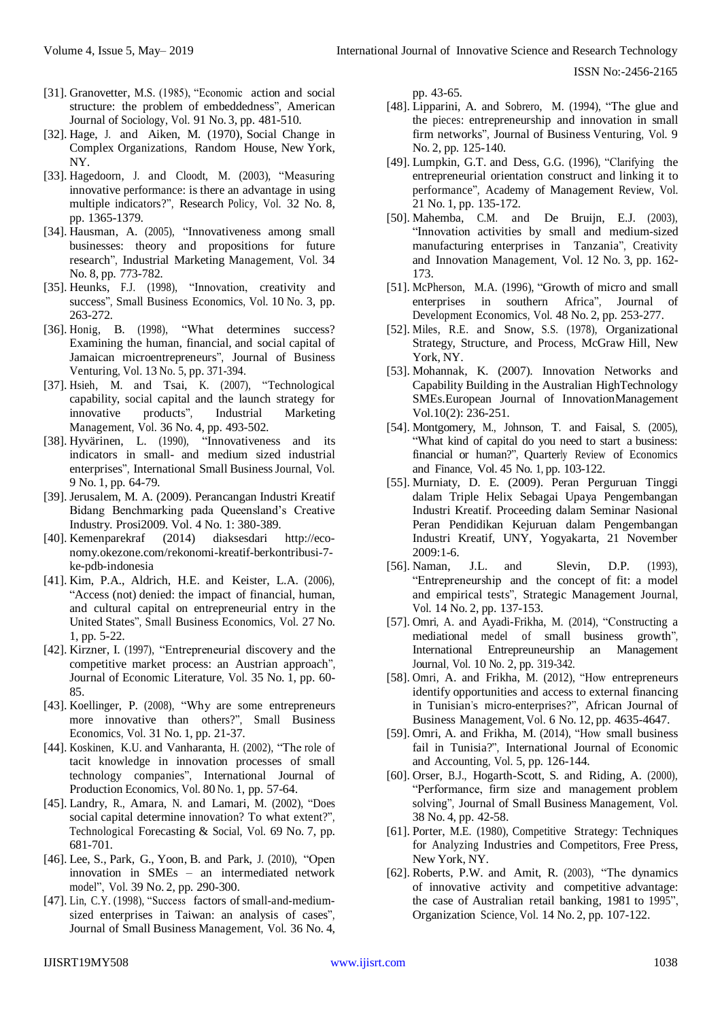- [31]. Granovetter, M.S. (1985), "Economic action and social structure: the problem of embeddedness", [American](http://www.emeraldinsight.com/action/showLinks?crossref=10.1086%2F228311) Journal of [Sociology,](http://www.emeraldinsight.com/action/showLinks?crossref=10.1086%2F228311) Vol. 91 No. 3, pp. 481-510.
- [32]. Hage, J. and Aiken, M. (1970), Social Change in Complex Organizations, Random House, New York, NY.
- [33]. Hagedoorn, J. and Cloodt, M. (2003), "Measuring innovative performance: is there an advantage in using multiple indicators?", [Research](http://www.emeraldinsight.com/action/showLinks?crossref=10.1016%2FS0048-7333%2802%2900137-3) Policy, Vol. 32 No. 8, pp. 1365-1379.
- [34]. Hausman, A. (2005), "Innovativeness among small businesses: theory and propositions for future research", Industrial Marketing [Management,](http://www.emeraldinsight.com/action/showLinks?crossref=10.1016%2Fj.indmarman.2004.12.009) Vol. 34 No. 8, pp. 773-782.
- [35]. Heunks, F.J. (1998), "Innovation, creativity and success", Small Business [Economics,](http://www.emeraldinsight.com/action/showLinks?crossref=10.1023%2FA%3A1007968217565) Vol. 10 No. 3, pp. 263-272.
- [36]. Honig, B. (1998), "What determines success? Examining the human, financial, and social capital of Jamaican microentrepreneurs", Journal of [Business](http://www.emeraldinsight.com/action/showLinks?crossref=10.1016%2FS0883-9026%2897%2900036-0) [Venturing,](http://www.emeraldinsight.com/action/showLinks?crossref=10.1016%2FS0883-9026%2897%2900036-0) Vol. 13 No. 5, pp. 371-394.
- [37]. Hsieh, M. and Tsai, K. (2007), "Technological capability, social capital and the launch strategy for innovative products", Industrial [Marketing](http://www.emeraldinsight.com/action/showLinks?crossref=10.1016%2Fj.indmarman.2006.01.002) [Management,](http://www.emeraldinsight.com/action/showLinks?crossref=10.1016%2Fj.indmarman.2006.01.002) Vol. 36 No. 4, pp. 493-502.
- [38]. Hyvärinen, L. (1990), "Innovativeness and its indicators in small- and medium sized industrial enterprises", International Small Business Journal, Vol. 9 No. 1, pp. 64-79.
- [39]. Jerusalem, M. A. (2009). Perancangan Industri Kreatif Bidang Benchmarking pada Queensland's Creative Industry. Prosi2009. Vol. 4 No. 1: 380-389.
- [40]. Kemenparekraf (2014) diaksesdari http://economy.okezone.com/rekonomi-kreatif-berkontribusi-7 ke-pdb-indonesia
- [41]. Kim, P.A., Aldrich, H.E. and Keister, L.A. (2006), "Access (not) denied: the impact of financial, human, and cultural capital on entrepreneurial entry in the United States", Small [Business](http://www.emeraldinsight.com/action/showLinks?crossref=10.1007%2Fs11187-006-0007-x) [Economics,](http://www.emeraldinsight.com/action/showLinks?crossref=10.1007%2Fs11187-006-0007-x) Vol. 27 No. 1, pp. 5-22.
- [42]. Kirzner, I. (1997), "Entrepreneurial discovery and the competitive market process: an Austrian approach", Journal of Economic Literature, Vol. 35 No. 1, pp. 60- 85.
- [43]. Koellinger, P. (2008), "Why are some entrepreneurs more innovative than others?", Small [Business](http://www.emeraldinsight.com/action/showLinks?crossref=10.1007%2Fs11187-008-9107-0) [Economics,](http://www.emeraldinsight.com/action/showLinks?crossref=10.1007%2Fs11187-008-9107-0) Vol. 31 No. 1, pp. 21-37.
- [44]. Koskinen, K.U. and Vanharanta, H. (2002), "The role of tacit knowledge in innovation processes of small technology companies", [International](http://www.emeraldinsight.com/action/showLinks?crossref=10.1016%2FS0925-5273%2802%2900243-8) Journal of [Production](http://www.emeraldinsight.com/action/showLinks?crossref=10.1016%2FS0925-5273%2802%2900243-8) Economics, Vol. 80 No. 1, pp. 57-64.
- [45]. Landry, R., Amara, N. and Lamari, M. (2002), "Does social capital determine innovation? To what extent?", Technological [Forecasting](http://www.emeraldinsight.com/action/showLinks?crossref=10.1016%2FS0040-1625%2801%2900170-6) & Social, Vol. 69 No. 7, pp. 681-701.
- [46]. Lee, S., Park, G., Yoon, B. and Park, J. (2010), "Open innovation in SMEs – an intermediated network model", Vol. 39 No. 2, pp. 290-300.
- [47]. Lin, C.Y. (1998), "Success factors of small-and-mediumsized enterprises in Taiwan: an analysis of cases", Journal of Small Business Management, Vol. 36 No. 4,

pp. 43-65.

- [48]. Lipparini, A. and Sobrero, M. (1994), "The glue and the pieces: entrepreneurship and innovation in small firm networks", Journal of Business [Venturing,](http://www.emeraldinsight.com/action/showLinks?crossref=10.1016%2F0883-9026%2894%2990005-1) Vol. 9 No. 2, pp. 125-140.
- [49]. Lumpkin, G.T. and Dess, G.G. (1996), "Clarifying the entrepreneurial orientation construct and linking it to performance", Academy of Management Review, Vol. 21 No. 1, pp. 135-172.
- [50]. Mahemba, C.M. and De Bruijn, E.J. (2003), "Innovation activities by small and medium-sized manufacturing enterprises in Tanzania", [Creativity](http://www.emeraldinsight.com/action/showLinks?crossref=10.1111%2F1467-8691.00279) and Innovation [Management,](http://www.emeraldinsight.com/action/showLinks?crossref=10.1111%2F1467-8691.00279) Vol. 12 No. 3, pp. 162- 173.
- [51]. McPherson, M.A. (1996), "Growth of micro and small enterprises in southern Africa", [Journal](http://www.emeraldinsight.com/action/showLinks?crossref=10.1016%2F0304-3878%2895%2900027-5) of [Development](http://www.emeraldinsight.com/action/showLinks?crossref=10.1016%2F0304-3878%2895%2900027-5) Economics, Vol. 48 No. 2, pp. 253-277.
- [52]. Miles, R.E. and Snow, S.S. (1978), Organizational Strategy, Structure, and Process, McGraw Hill, New York, NY.
- [53]. Mohannak, K. (2007). Innovation Networks and Capability Building in the Australian HighTechnology SMEs.European Journal of InnovationManagement Vol.10(2): 236-251.
- [54]. Montgomery, M., Johnson, T. and Faisal, S. (2005), "What kind of capital do you need to start a business: financial or human?", [Quarterly](http://www.emeraldinsight.com/action/showLinks?crossref=10.1016%2Fj.qref.2003.11.005) Review of Economics and [Finance,](http://www.emeraldinsight.com/action/showLinks?crossref=10.1016%2Fj.qref.2003.11.005) Vol. 45 No. 1, pp. 103-122.
- [55]. Murniaty, D. E. (2009). Peran Perguruan Tinggi dalam Triple Helix Sebagai Upaya Pengembangan Industri Kreatif. Proceeding dalam Seminar Nasional Peran Pendidikan Kejuruan dalam Pengembangan Industri Kreatif, UNY, Yogyakarta, 21 November 2009:1-6.
- [56]. Naman, J.L. and Slevin, D.P. (1993), "Entrepreneurship and the concept of fit: a model and empirical tests", Strategic [Management](http://www.emeraldinsight.com/action/showLinks?crossref=10.1002%2Fsmj.4250140205) Journal, Vol. 14 No. 2, pp. 137-153.
- [57]. Omri, A. and Ayadi-Frikha, M. (2014), "Constructing a mediational medel of small business growth", International [Entrepreuneurship](http://www.emeraldinsight.com/action/showLinks?crossref=10.1007%2Fs11365-012-0223-6) an Management [Journal,](http://www.emeraldinsight.com/action/showLinks?crossref=10.1007%2Fs11365-012-0223-6) Vol. 10 No. 2, pp. 319-342.
- [58]. Omri, A. and Frikha, M. (2012), "How entrepreneurs identify opportunities and access to external financing in Tunisian's micro-enterprises?", African Journal of Business Management, Vol. 6 No. 12, pp. 4635-4647.
- [59]. Omri, A. and Frikha, M. (2014), "How small business fail in Tunisia?", [International](http://www.emeraldinsight.com/action/showLinks?crossref=10.1504%2FIJEA.2014.063737) Journal of [Economic](http://www.emeraldinsight.com/action/showLinks?crossref=10.1504%2FIJEA.2014.063737) and [Accounting,](http://www.emeraldinsight.com/action/showLinks?crossref=10.1504%2FIJEA.2014.063737) Vol. 5, pp. 126-144.
- [60]. Orser, B.J., Hogarth-Scott, S. and Riding, A. (2000), "Performance, firm size and management problem solving", Journal of Small Business Management, Vol. 38 No. 4, pp. 42-58.
- [61]. Porter, M.E. (1980), Competitive Strategy: Techniques for Analyzing Industries and Competitors, Free Press, New York, NY.
- [62]. Roberts, P.W. and Amit, R. (2003), "The dynamics of innovative activity and competitive advantage: the case of Australian retail banking, 1981 to 1995", [Organization](http://www.emeraldinsight.com/action/showLinks?crossref=10.1287%2Forsc.14.2.107.14990) Science, Vol. 14 No. 2, pp. 107-122.